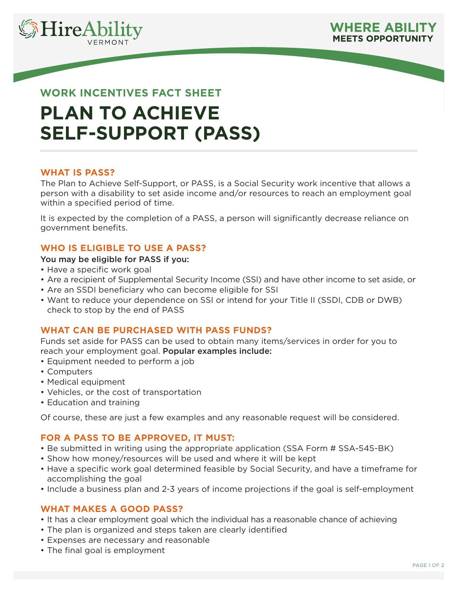



# **WORK INCENTIVES FACT SHEET PLAN TO ACHIEVE SELF-SUPPORT (PASS)**

## **WHAT IS PASS?**

The Plan to Achieve Self-Support, or PASS, is a Social Security work incentive that allows a person with a disability to set aside income and/or resources to reach an employment goal within a specified period of time.

It is expected by the completion of a PASS, a person will significantly decrease reliance on government benefits.

# **WHO IS ELIGIBLE TO USE A PASS?**

#### You may be eligible for PASS if you:

- Have a specific work goal
- Are a recipient of Supplemental Security Income (SSI) and have other income to set aside, or
- Are an SSDI beneficiary who can become eligible for SSI
- Want to reduce your dependence on SSI or intend for your Title II (SSDI, CDB or DWB) check to stop by the end of PASS

### **WHAT CAN BE PURCHASED WITH PASS FUNDS?**

Funds set aside for PASS can be used to obtain many items/services in order for you to reach your employment goal. Popular examples include:

- Equipment needed to perform a job
- Computers
- Medical equipment
- Vehicles, or the cost of transportation
- Education and training

Of course, these are just a few examples and any reasonable request will be considered.

# **FOR A PASS TO BE APPROVED, IT MUST:**

- Be submitted in writing using the appropriate application (SSA Form # SSA-545-BK)
- Show how money/resources will be used and where it will be kept
- Have a specific work goal determined feasible by Social Security, and have a timeframe for accomplishing the goal
- Include a business plan and 2-3 years of income projections if the goal is self-employment

### **WHAT MAKES A GOOD PASS?**

- It has a clear employment goal which the individual has a reasonable chance of achieving
- The plan is organized and steps taken are clearly identified
- Expenses are necessary and reasonable
- The final goal is employment